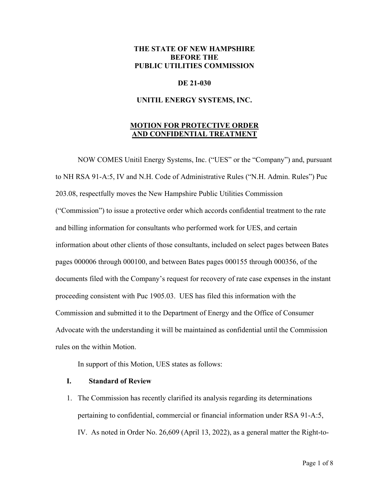# **THE STATE OF NEW HAMPSHIRE BEFORE THE PUBLIC UTILITIES COMMISSION**

## **DE 21-030**

### **UNITIL ENERGY SYSTEMS, INC.**

# **MOTION FOR PROTECTIVE ORDER AND CONFIDENTIAL TREATMENT**

NOW COMES Unitil Energy Systems, Inc. ("UES" or the "Company") and, pursuant to NH RSA 91-A:5, IV and N.H. Code of Administrative Rules ("N.H. Admin. Rules") Puc 203.08, respectfully moves the New Hampshire Public Utilities Commission ("Commission") to issue a protective order which accords confidential treatment to the rate and billing information for consultants who performed work for UES, and certain information about other clients of those consultants, included on select pages between Bates pages 000006 through 000100, and between Bates pages 000155 through 000356, of the documents filed with the Company's request for recovery of rate case expenses in the instant proceeding consistent with Puc 1905.03. UES has filed this information with the Commission and submitted it to the Department of Energy and the Office of Consumer Advocate with the understanding it will be maintained as confidential until the Commission rules on the within Motion.

In support of this Motion, UES states as follows:

### **I. Standard of Review**

1. The Commission has recently clarified its analysis regarding its determinations pertaining to confidential, commercial or financial information under RSA 91-A:5, IV. As noted in Order No. 26,609 (April 13, 2022), as a general matter the Right-to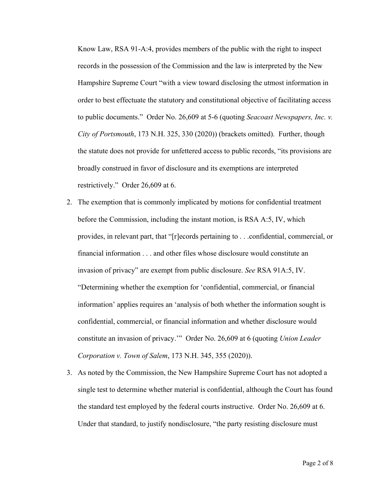Know Law, RSA 91-A:4, provides members of the public with the right to inspect records in the possession of the Commission and the law is interpreted by the New Hampshire Supreme Court "with a view toward disclosing the utmost information in order to best effectuate the statutory and constitutional objective of facilitating access to public documents." Order No. 26,609 at 5-6 (quoting *Seacoast Newspapers, Inc. v. City of Portsmouth*, 173 N.H. 325, 330 (2020)) (brackets omitted). Further, though the statute does not provide for unfettered access to public records, "its provisions are broadly construed in favor of disclosure and its exemptions are interpreted restrictively." Order 26,609 at 6.

- 2. The exemption that is commonly implicated by motions for confidential treatment before the Commission, including the instant motion, is RSA A:5, IV, which provides, in relevant part, that "[r]ecords pertaining to . . .confidential, commercial, or financial information . . . and other files whose disclosure would constitute an invasion of privacy" are exempt from public disclosure. *See* RSA 91A:5, IV. "Determining whether the exemption for 'confidential, commercial, or financial information' applies requires an 'analysis of both whether the information sought is confidential, commercial, or financial information and whether disclosure would constitute an invasion of privacy.'" Order No. 26,609 at 6 (quoting *Union Leader Corporation v. Town of Salem*, 173 N.H. 345, 355 (2020)).
- 3. As noted by the Commission, the New Hampshire Supreme Court has not adopted a single test to determine whether material is confidential, although the Court has found the standard test employed by the federal courts instructive. Order No. 26,609 at 6. Under that standard, to justify nondisclosure, "the party resisting disclosure must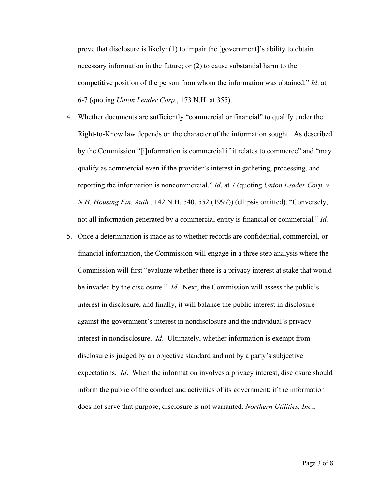prove that disclosure is likely: (1) to impair the [government]'s ability to obtain necessary information in the future; or (2) to cause substantial harm to the competitive position of the person from whom the information was obtained." *Id*. at 6-7 (quoting *Union Leader Corp*., 173 N.H. at 355).

- 4. Whether documents are sufficiently "commercial or financial" to qualify under the Right-to-Know law depends on the character of the information sought. As described by the Commission "[i]nformation is commercial if it relates to commerce" and "may qualify as commercial even if the provider's interest in gathering, processing, and reporting the information is noncommercial." *Id*. at 7 (quoting *Union Leader Corp. v. N.H. Housing Fin. Auth.,* 142 N.H. 540, 552 (1997)) (ellipsis omitted). "Conversely, not all information generated by a commercial entity is financial or commercial." *Id*.
- 5. Once a determination is made as to whether records are confidential, commercial, or financial information, the Commission will engage in a three step analysis where the Commission will first "evaluate whether there is a privacy interest at stake that would be invaded by the disclosure." *Id*. Next, the Commission will assess the public's interest in disclosure, and finally, it will balance the public interest in disclosure against the government's interest in nondisclosure and the individual's privacy interest in nondisclosure. *Id*. Ultimately, whether information is exempt from disclosure is judged by an objective standard and not by a party's subjective expectations. *Id*. When the information involves a privacy interest, disclosure should inform the public of the conduct and activities of its government; if the information does not serve that purpose, disclosure is not warranted. *Northern Utilities, Inc.*,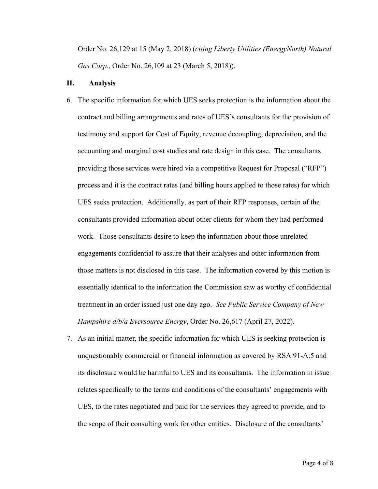Order No. 26,129 at 15 (May 2, 2018) (*citing Liberty Utilities (EnergyNorth) Natural Gas Corp.*, Order No. 26,109 at 23 (March 5, 2018)).

#### **II. Analysis**

- 6. The specific information for which UES seeks protection is the information about the contract and billing arrangements and rates of UES's consultants for the provision of testimony and support for Cost of Equity, revenue decoupling, depreciation, and the accounting and marginal cost studies and rate design in this case. The consultants providing those services were hired via a competitive Request for Proposal ("RFP") process and it is the contract rates (and billing hours applied to those rates) for which UES seeks protection. Additionally, as part of their RFP responses, certain of the consultants provided information about other clients for whom they had performed work. Those consultants desire to keep the information about those unrelated engagements confidential to assure that their analyses and other information from those matters is not disclosed in this case. The information covered by this motion is essentially identical to the information the Commission saw as worthy of confidential treatment in an order issued just one day ago. *See Public Service Company of New Hampshire d/b/a Eversource Energy*, Order No. 26,617 (April 27, 2022).
- 7. As an initial matter, the specific information for which UES is seeking protection is unquestionably commercial or financial information as covered by RSA 91-A:5 and its disclosure would be harmful to UES and its consultants. The information in issue relates specifically to the terms and conditions of the consultants' engagements with UES, to the rates negotiated and paid for the services they agreed to provide, and to the scope of their consulting work for other entities. Disclosure of the consultants'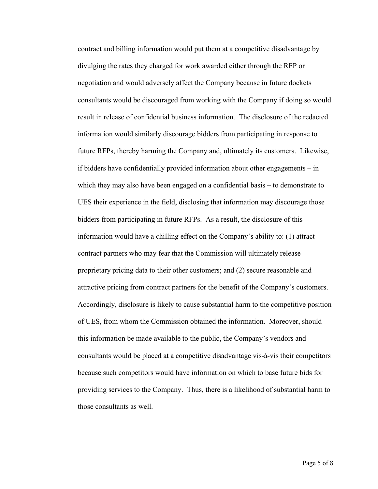contract and billing information would put them at a competitive disadvantage by divulging the rates they charged for work awarded either through the RFP or negotiation and would adversely affect the Company because in future dockets consultants would be discouraged from working with the Company if doing so would result in release of confidential business information. The disclosure of the redacted information would similarly discourage bidders from participating in response to future RFPs, thereby harming the Company and, ultimately its customers. Likewise, if bidders have confidentially provided information about other engagements – in which they may also have been engaged on a confidential basis – to demonstrate to UES their experience in the field, disclosing that information may discourage those bidders from participating in future RFPs. As a result, the disclosure of this information would have a chilling effect on the Company's ability to: (1) attract contract partners who may fear that the Commission will ultimately release proprietary pricing data to their other customers; and (2) secure reasonable and attractive pricing from contract partners for the benefit of the Company's customers. Accordingly, disclosure is likely to cause substantial harm to the competitive position of UES, from whom the Commission obtained the information. Moreover, should this information be made available to the public, the Company's vendors and consultants would be placed at a competitive disadvantage vis-à-vis their competitors because such competitors would have information on which to base future bids for providing services to the Company. Thus, there is a likelihood of substantial harm to those consultants as well.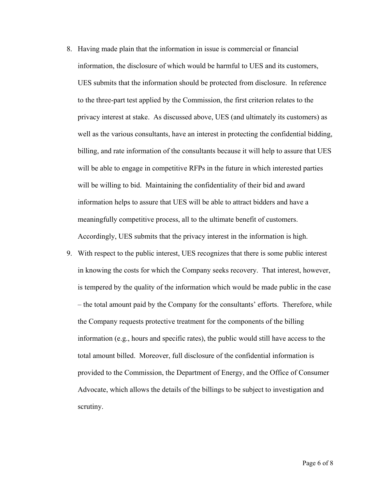- 8. Having made plain that the information in issue is commercial or financial information, the disclosure of which would be harmful to UES and its customers, UES submits that the information should be protected from disclosure. In reference to the three-part test applied by the Commission, the first criterion relates to the privacy interest at stake. As discussed above, UES (and ultimately its customers) as well as the various consultants, have an interest in protecting the confidential bidding, billing, and rate information of the consultants because it will help to assure that UES will be able to engage in competitive RFPs in the future in which interested parties will be willing to bid. Maintaining the confidentiality of their bid and award information helps to assure that UES will be able to attract bidders and have a meaningfully competitive process, all to the ultimate benefit of customers. Accordingly, UES submits that the privacy interest in the information is high.
- 9. With respect to the public interest, UES recognizes that there is some public interest in knowing the costs for which the Company seeks recovery. That interest, however, is tempered by the quality of the information which would be made public in the case – the total amount paid by the Company for the consultants' efforts. Therefore, while the Company requests protective treatment for the components of the billing information (e.g., hours and specific rates), the public would still have access to the total amount billed. Moreover, full disclosure of the confidential information is provided to the Commission, the Department of Energy, and the Office of Consumer Advocate, which allows the details of the billings to be subject to investigation and scrutiny.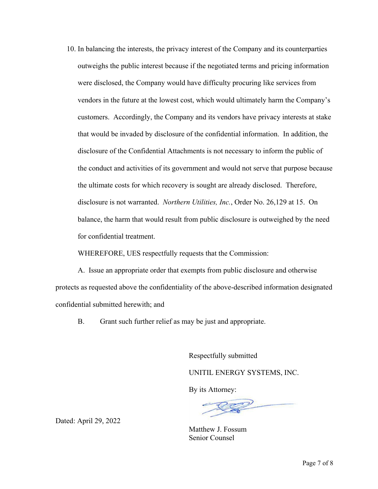10. In balancing the interests, the privacy interest of the Company and its counterparties outweighs the public interest because if the negotiated terms and pricing information were disclosed, the Company would have difficulty procuring like services from vendors in the future at the lowest cost, which would ultimately harm the Company's customers. Accordingly, the Company and its vendors have privacy interests at stake that would be invaded by disclosure of the confidential information. In addition, the disclosure of the Confidential Attachments is not necessary to inform the public of the conduct and activities of its government and would not serve that purpose because the ultimate costs for which recovery is sought are already disclosed. Therefore, disclosure is not warranted. *Northern Utilities, Inc.*, Order No. 26,129 at 15. On balance, the harm that would result from public disclosure is outweighed by the need for confidential treatment.

WHEREFORE, UES respectfully requests that the Commission:

A. Issue an appropriate order that exempts from public disclosure and otherwise protects as requested above the confidentiality of the above-described information designated confidential submitted herewith; and

B. Grant such further relief as may be just and appropriate.

Respectfully submitted

UNITIL ENERGY SYSTEMS, INC.

By its Attorney:

 $\overline{\mathscr{L}}$ 

Matthew J. Fossum Senior Counsel

Dated: April 29, 2022